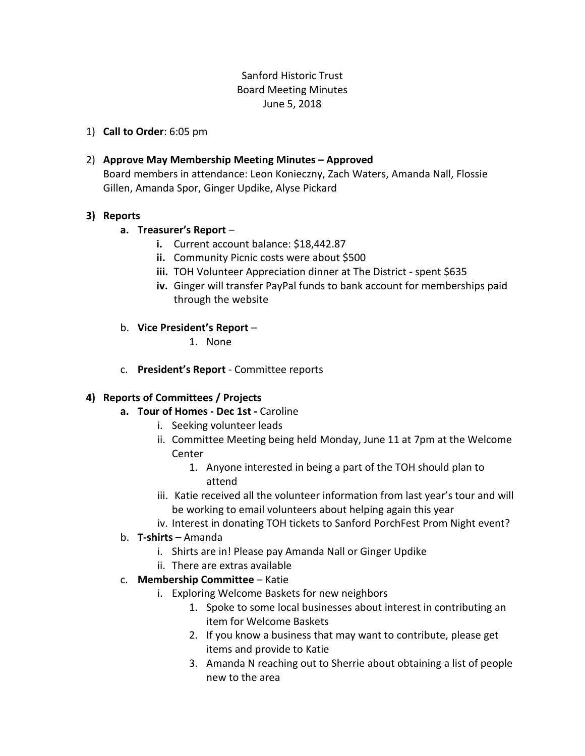## Sanford Historic Trust Board Meeting Minutes June 5, 2018

1) **Call to Order**: 6:05 pm

## 2) **Approve May Membership Meeting Minutes – Approved**

Board members in attendance: Leon Konieczny, Zach Waters, Amanda Nall, Flossie Gillen, Amanda Spor, Ginger Updike, Alyse Pickard

#### **3) Reports**

#### **a. Treasurer's Report** –

- **i.** Current account balance: \$18,442.87
- **ii.** Community Picnic costs were about \$500
- **iii.** TOH Volunteer Appreciation dinner at The District spent \$635
- **iv.** Ginger will transfer PayPal funds to bank account for memberships paid through the website

#### b. **Vice President's Report** –

1. None

c. **President's Report** - Committee reports

#### **4) Reports of Committees / Projects**

- **a. Tour of Homes - Dec 1st -** Caroline
	- i. Seeking volunteer leads
	- ii. Committee Meeting being held Monday, June 11 at 7pm at the Welcome Center
		- 1. Anyone interested in being a part of the TOH should plan to attend
	- iii. Katie received all the volunteer information from last year's tour and will be working to email volunteers about helping again this year
	- iv. Interest in donating TOH tickets to Sanford PorchFest Prom Night event?

#### b. **T-shirts** – Amanda

- i. Shirts are in! Please pay Amanda Nall or Ginger Updike
- ii. There are extras available
- c. **Membership Committee** Katie
	- i. Exploring Welcome Baskets for new neighbors
		- 1. Spoke to some local businesses about interest in contributing an item for Welcome Baskets
		- 2. If you know a business that may want to contribute, please get items and provide to Katie
		- 3. Amanda N reaching out to Sherrie about obtaining a list of people new to the area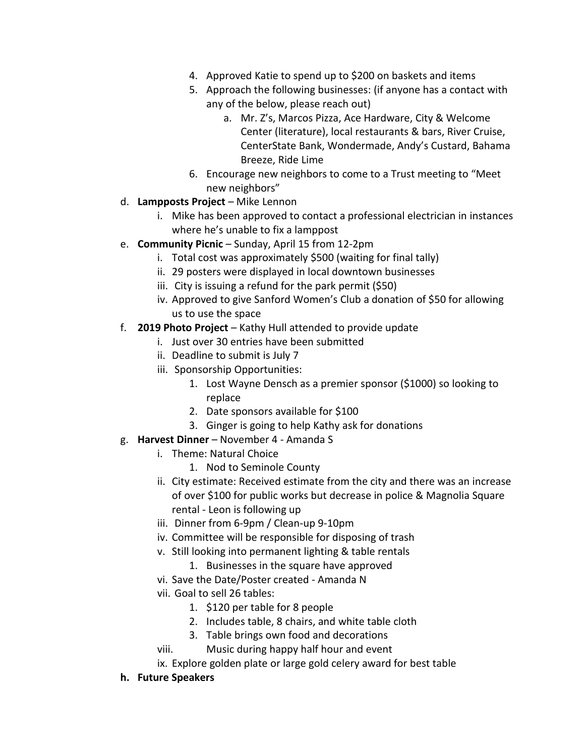- 4. Approved Katie to spend up to \$200 on baskets and items
- 5. Approach the following businesses: (if anyone has a contact with any of the below, please reach out)
	- a. Mr. Z's, Marcos Pizza, Ace Hardware, City & Welcome Center (literature), local restaurants & bars, River Cruise, CenterState Bank, Wondermade, Andy's Custard, Bahama Breeze, Ride Lime
- 6. Encourage new neighbors to come to a Trust meeting to "Meet new neighbors"
- d. **Lampposts Project** Mike Lennon
	- i. Mike has been approved to contact a professional electrician in instances where he's unable to fix a lamppost
- e. **Community Picnic** Sunday, April 15 from 12-2pm
	- i. Total cost was approximately \$500 (waiting for final tally)
	- ii. 29 posters were displayed in local downtown businesses
	- iii. City is issuing a refund for the park permit (\$50)
	- iv. Approved to give Sanford Women's Club a donation of \$50 for allowing us to use the space
- f. **2019 Photo Project** Kathy Hull attended to provide update
	- i. Just over 30 entries have been submitted
	- ii. Deadline to submit is July 7
	- iii. Sponsorship Opportunities:
		- 1. Lost Wayne Densch as a premier sponsor (\$1000) so looking to replace
		- 2. Date sponsors available for \$100
		- 3. Ginger is going to help Kathy ask for donations
- g. **Harvest Dinner** November 4 Amanda S
	- i. Theme: Natural Choice
		- 1. Nod to Seminole County
	- ii. City estimate: Received estimate from the city and there was an increase of over \$100 for public works but decrease in police & Magnolia Square rental - Leon is following up
	- iii. Dinner from 6-9pm / Clean-up 9-10pm
	- iv. Committee will be responsible for disposing of trash
	- v. Still looking into permanent lighting & table rentals
		- 1. Businesses in the square have approved
	- vi. Save the Date/Poster created Amanda N
	- vii. Goal to sell 26 tables:
		- 1. \$120 per table for 8 people
		- 2. Includes table, 8 chairs, and white table cloth
		- 3. Table brings own food and decorations
	- viii. Music during happy half hour and event
	- ix. Explore golden plate or large gold celery award for best table
- **h. Future Speakers**